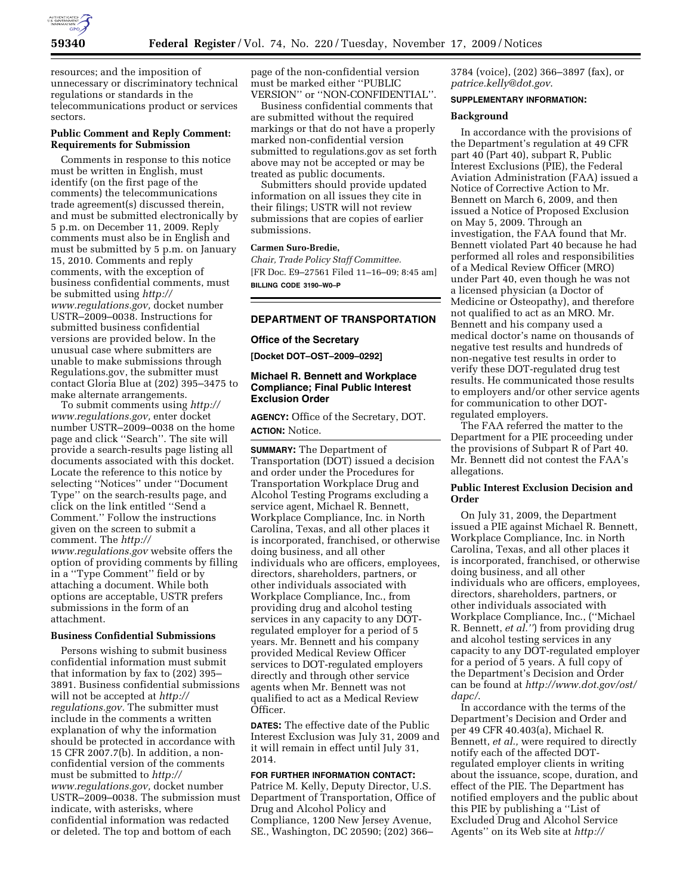

resources; and the imposition of unnecessary or discriminatory technical regulations or standards in the telecommunications product or services sectors.

## **Public Comment and Reply Comment: Requirements for Submission**

Comments in response to this notice must be written in English, must identify (on the first page of the comments) the telecommunications trade agreement(s) discussed therein, and must be submitted electronically by 5 p.m. on December 11, 2009. Reply comments must also be in English and must be submitted by 5 p.m. on January 15, 2010. Comments and reply comments, with the exception of business confidential comments, must be submitted using *http:// www.regulations.gov,* docket number USTR–2009–0038. Instructions for submitted business confidential versions are provided below. In the unusual case where submitters are unable to make submissions through Regulations.gov, the submitter must contact Gloria Blue at (202) 395–3475 to make alternate arrangements.

To submit comments using *http:// www.regulations.gov,* enter docket number USTR–2009–0038 on the home page and click ''Search''. The site will provide a search-results page listing all documents associated with this docket. Locate the reference to this notice by selecting ''Notices'' under ''Document Type'' on the search-results page, and click on the link entitled ''Send a Comment.'' Follow the instructions given on the screen to submit a comment. The *http:// www.regulations.gov* website offers the option of providing comments by filling

in a ''Type Comment'' field or by attaching a document. While both options are acceptable, USTR prefers submissions in the form of an attachment.

#### **Business Confidential Submissions**

Persons wishing to submit business confidential information must submit that information by fax to (202) 395– 3891. Business confidential submissions will not be accepted at *http:// regulations.gov.* The submitter must include in the comments a written explanation of why the information should be protected in accordance with 15 CFR 2007.7(b). In addition, a nonconfidential version of the comments must be submitted to *http:// www.regulations.gov,* docket number USTR–2009–0038. The submission must indicate, with asterisks, where confidential information was redacted or deleted. The top and bottom of each

page of the non-confidential version must be marked either ''PUBLIC VERSION'' or ''NON-CONFIDENTIAL''.

Business confidential comments that are submitted without the required markings or that do not have a properly marked non-confidential version submitted to regulations.gov as set forth above may not be accepted or may be treated as public documents.

Submitters should provide updated information on all issues they cite in their filings; USTR will not review submissions that are copies of earlier submissions.

# **Carmen Suro-Bredie,**

*Chair, Trade Policy Staff Committee.*  [FR Doc. E9–27561 Filed 11–16–09; 8:45 am] **BILLING CODE 3190–W0–P** 

# **DEPARTMENT OF TRANSPORTATION**

### **Office of the Secretary**

**[Docket DOT–OST–2009–0292]** 

## **Michael R. Bennett and Workplace Compliance; Final Public Interest Exclusion Order**

**AGENCY:** Office of the Secretary, DOT. **ACTION:** Notice.

**SUMMARY:** The Department of Transportation (DOT) issued a decision and order under the Procedures for Transportation Workplace Drug and Alcohol Testing Programs excluding a service agent, Michael R. Bennett, Workplace Compliance, Inc. in North Carolina, Texas, and all other places it is incorporated, franchised, or otherwise doing business, and all other individuals who are officers, employees, directors, shareholders, partners, or other individuals associated with Workplace Compliance, Inc., from providing drug and alcohol testing services in any capacity to any DOTregulated employer for a period of 5 years. Mr. Bennett and his company provided Medical Review Officer services to DOT-regulated employers directly and through other service agents when Mr. Bennett was not qualified to act as a Medical Review Officer.

**DATES:** The effective date of the Public Interest Exclusion was July 31, 2009 and it will remain in effect until July 31, 2014.

# **FOR FURTHER INFORMATION CONTACT:**

Patrice M. Kelly, Deputy Director, U.S. Department of Transportation, Office of Drug and Alcohol Policy and Compliance, 1200 New Jersey Avenue, SE., Washington, DC 20590; (202) 366–

3784 (voice), (202) 366–3897 (fax), or *patrice.kelly@dot.gov*.

## **SUPPLEMENTARY INFORMATION:**

### **Background**

In accordance with the provisions of the Department's regulation at 49 CFR part 40 (Part 40), subpart R, Public Interest Exclusions (PIE), the Federal Aviation Administration (FAA) issued a Notice of Corrective Action to Mr. Bennett on March 6, 2009, and then issued a Notice of Proposed Exclusion on May 5, 2009. Through an investigation, the FAA found that Mr. Bennett violated Part 40 because he had performed all roles and responsibilities of a Medical Review Officer (MRO) under Part 40, even though he was not a licensed physician (a Doctor of Medicine or Osteopathy), and therefore not qualified to act as an MRO. Mr. Bennett and his company used a medical doctor's name on thousands of negative test results and hundreds of non-negative test results in order to verify these DOT-regulated drug test results. He communicated those results to employers and/or other service agents for communication to other DOTregulated employers.

The FAA referred the matter to the Department for a PIE proceeding under the provisions of Subpart R of Part 40. Mr. Bennett did not contest the FAA's allegations.

### **Public Interest Exclusion Decision and Order**

On July 31, 2009, the Department issued a PIE against Michael R. Bennett, Workplace Compliance, Inc. in North Carolina, Texas, and all other places it is incorporated, franchised, or otherwise doing business, and all other individuals who are officers, employees, directors, shareholders, partners, or other individuals associated with Workplace Compliance, Inc., (''Michael R. Bennett, *et al.''*) from providing drug and alcohol testing services in any capacity to any DOT-regulated employer for a period of 5 years. A full copy of the Department's Decision and Order can be found at *http://www.dot.gov/ost/ dapc/*.

In accordance with the terms of the Department's Decision and Order and per 49 CFR 40.403(a), Michael R. Bennett, *et al.,* were required to directly notify each of the affected DOTregulated employer clients in writing about the issuance, scope, duration, and effect of the PIE. The Department has notified employers and the public about this PIE by publishing a ''List of Excluded Drug and Alcohol Service Agents'' on its Web site at *http://*